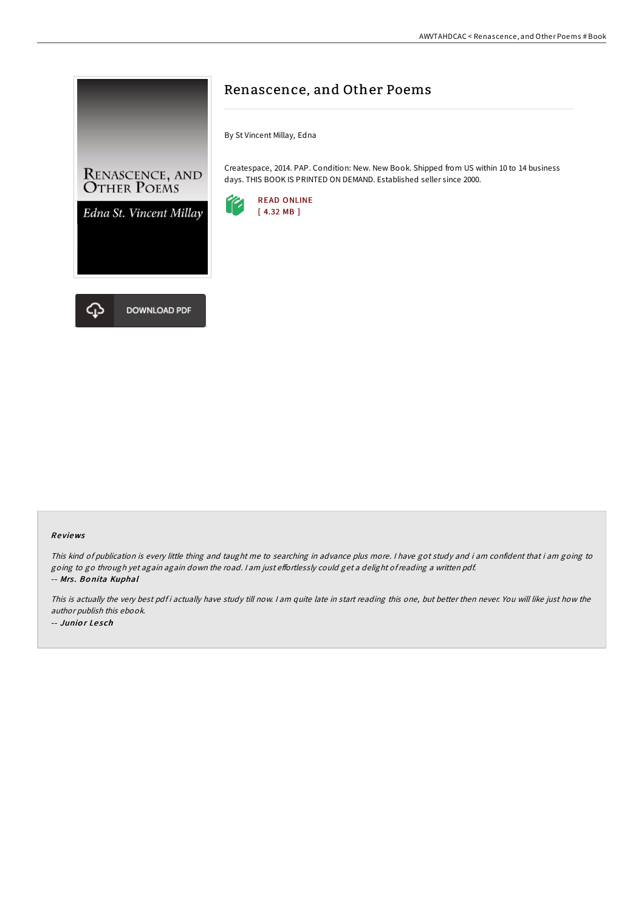

# Renascence, and Other Poems

By St Vincent Millay, Edna

Createspace, 2014. PAP. Condition: New. New Book. Shipped from US within 10 to 14 business days. THIS BOOK IS PRINTED ON DEMAND. Established seller since 2000.



#### Re views

This kind of publication is every little thing and taught me to searching in advance plus more. <sup>I</sup> have got study and i am confident that i am going to going to go through yet again again down the road. I am just effortlessly could get a delight of reading a written pdf. -- Mrs. Bonita Kuphal

This is actually the very best pdf i actually have study till now. I am quite late in start reading this one, but better then never. You will like just how the author publish this ebook. -- Junior Lesch